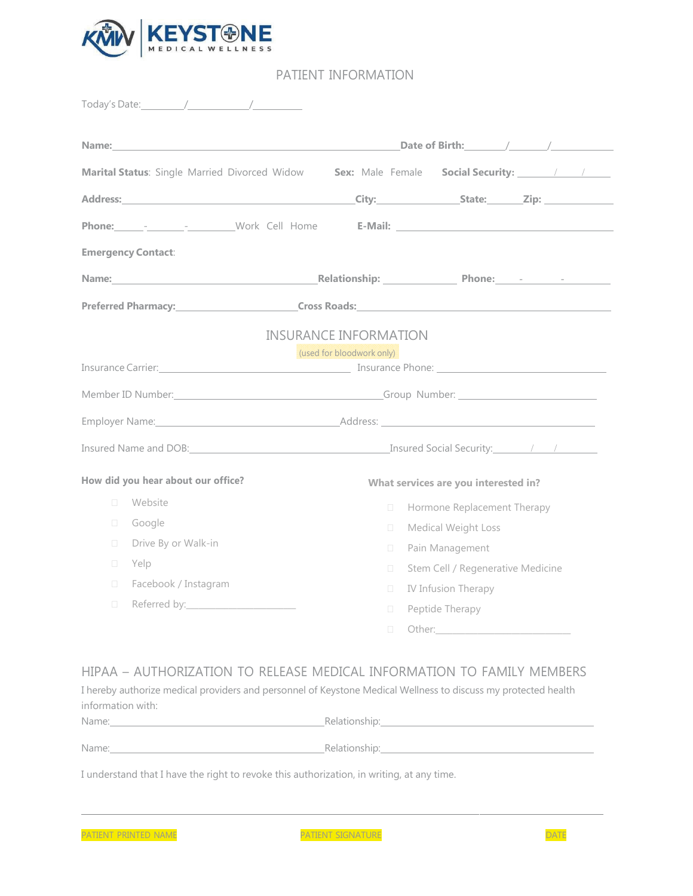

## PATIENT INFORMATION

| Name: with a state of the contract of the contract of the contract of the contract of the contract of the contract of the contract of the contract of the contract of the contract of the contract of the contract of the cont | Date of Birth: $\qquad \qquad \qquad$                                                                                                                                                                                               |
|--------------------------------------------------------------------------------------------------------------------------------------------------------------------------------------------------------------------------------|-------------------------------------------------------------------------------------------------------------------------------------------------------------------------------------------------------------------------------------|
| Marital Status: Single Married Divorced Widow                                                                                                                                                                                  | Sex: Male Female Social Security: 1997                                                                                                                                                                                              |
|                                                                                                                                                                                                                                |                                                                                                                                                                                                                                     |
|                                                                                                                                                                                                                                |                                                                                                                                                                                                                                     |
| <b>Emergency Contact:</b>                                                                                                                                                                                                      |                                                                                                                                                                                                                                     |
|                                                                                                                                                                                                                                | Name: Mame: 2008 Mame: 2008 Mame: 2008 Mame: 2008 Mame: 2008 Mame: 2008 Mame: 2008 Mame: 2008 Mame: 2008 Mame: 2008 Mame: 2008 Mame: 2008 Mame: 2008 Mame: 2008 Mame: 2008 Mame: 2008 Mame: 2008 Mame: 2008 Mame: 2008 Mame: 2      |
|                                                                                                                                                                                                                                | Preferred Pharmacy: The Cross Roads: The Cross Roads: The Cross Roads: The Cross Roads: The Cross Roads: The Cross Roads: The Cross Roads: The Cross Roads: The Cross Roads: The Cross Roads: The Cross Roads: The Cross Roads      |
|                                                                                                                                                                                                                                | <b>INSURANCE INFORMATION</b>                                                                                                                                                                                                        |
|                                                                                                                                                                                                                                | (used for bloodwork only)                                                                                                                                                                                                           |
|                                                                                                                                                                                                                                | Insurance Carrier: <u>Carrier Communication and Communication</u> Insurance Phone: Carrier Carrier Communication and Communication and Communication and Communication and Communication and Communication and Communication and Co |
|                                                                                                                                                                                                                                | Member ID Number: Communication of the Communication of Group Number:                                                                                                                                                               |
|                                                                                                                                                                                                                                | Employer Name: 1988 and 2008 and 2008 and 2008 and 2008 and 2008 and 2008 and 2008 and 2008 and 2008 and 2008 and 2008 and 2008 and 2008 and 2008 and 2008 and 2008 and 2008 and 2008 and 2008 and 2008 and 2008 and 2008 and       |
|                                                                                                                                                                                                                                | Insured Name and DOB: Notice and Loop and Conservation of the Conservation of the Conservation of the Conservation of the Conservation of the Conservation of the Conservation of the Conservation of the Conservation of the       |
|                                                                                                                                                                                                                                |                                                                                                                                                                                                                                     |
|                                                                                                                                                                                                                                | What services are you interested in?                                                                                                                                                                                                |
| Website<br>$\Box$                                                                                                                                                                                                              | Hormone Replacement Therapy<br>$\Box$                                                                                                                                                                                               |
| Google<br>$\Box$                                                                                                                                                                                                               | Medical Weight Loss<br>$\Box$                                                                                                                                                                                                       |
| Drive By or Walk-in<br>$\Box$                                                                                                                                                                                                  | $\Box$                                                                                                                                                                                                                              |
| Yelp<br>0                                                                                                                                                                                                                      | Pain Management<br>$\Box$                                                                                                                                                                                                           |
| Facebook / Instagram<br>$\Box$                                                                                                                                                                                                 | Stem Cell / Regenerative Medicine<br>$\Box$                                                                                                                                                                                         |
| How did you hear about our office?<br>$\Box$                                                                                                                                                                                   | IV Infusion Therapy<br>Peptide Therapy<br>$\Box$                                                                                                                                                                                    |

## HIPAA – AUTHORIZATION TO RELEASE MEDICAL INFORMATION TO FAMILY MEMBERS

| I hereby authorize medical providers and personnel of Keystone Medical Wellness to discuss my protected health |  |
|----------------------------------------------------------------------------------------------------------------|--|
| information with:                                                                                              |  |

| Name: | Relationship: |
|-------|---------------|
| Name: | Relationship: |
|       |               |

I understand that I have the right to revoke this authorization, in writing, at any time.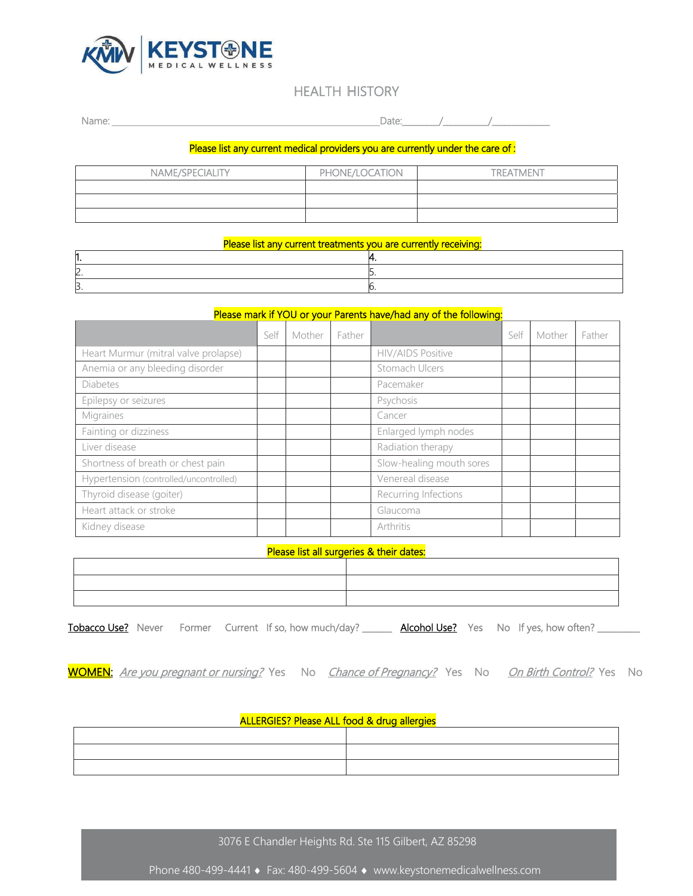

# HEALTH HISTORY

| --<br>. |  |  |  |
|---------|--|--|--|
|         |  |  |  |

## Please list any current medical providers you are currently under the care of :

| NAME/SPECIALITY | PHONE/LOCATION | <b>TREATMENT</b> |
|-----------------|----------------|------------------|
|                 |                |                  |
|                 |                |                  |
|                 |                |                  |

| Please list any current treatments you are currently receiving: |    |
|-----------------------------------------------------------------|----|
|                                                                 |    |
|                                                                 |    |
| ັ                                                               | שו |

### Please mark if YOU or your Parents have/had any of the following:

|                                        | Self | Mother | Father |                          | Self | Mother | Father |
|----------------------------------------|------|--------|--------|--------------------------|------|--------|--------|
| Heart Murmur (mitral valve prolapse)   |      |        |        | <b>HIV/AIDS Positive</b> |      |        |        |
| Anemia or any bleeding disorder        |      |        |        | Stomach Ulcers           |      |        |        |
| <b>Diabetes</b>                        |      |        |        | Pacemaker                |      |        |        |
| Epilepsy or seizures                   |      |        |        | Psychosis                |      |        |        |
| Migraines                              |      |        |        | Cancer                   |      |        |        |
| Fainting or dizziness                  |      |        |        | Enlarged lymph nodes     |      |        |        |
| Liver disease                          |      |        |        | Radiation therapy        |      |        |        |
| Shortness of breath or chest pain      |      |        |        | Slow-healing mouth sores |      |        |        |
| Hypertension (controlled/uncontrolled) |      |        |        | Venereal disease         |      |        |        |
| Thyroid disease (goiter)               |      |        |        | Recurring Infections     |      |        |        |
| Heart attack or stroke                 |      |        |        | Glaucoma                 |      |        |        |
| Kidney disease                         |      |        |        | Arthritis                |      |        |        |

#### Please list all surgeries & their dates:

Tobacco Use? Never Former Current If so, how much/day? \_\_\_\_\_\_\_ Alcohol Use? Yes No If yes, how often? \_\_\_\_\_\_\_\_

WOMEN: Are you pregnant or nursing? Yes No Chance of Pregnancy? Yes No On Birth Control? Yes No

### ALLERGIES? Please ALL food & drug allergies

| the contract of the contract of the contract of the contract of the contract of the contract of the contract of |  |
|-----------------------------------------------------------------------------------------------------------------|--|
|                                                                                                                 |  |

3076 E Chandler Heights Rd. Ste 115 Gilbert, AZ 85298

Phone 480-499-4441 • Fax: 480-499-5604 • www.keystonemedicalwellness.com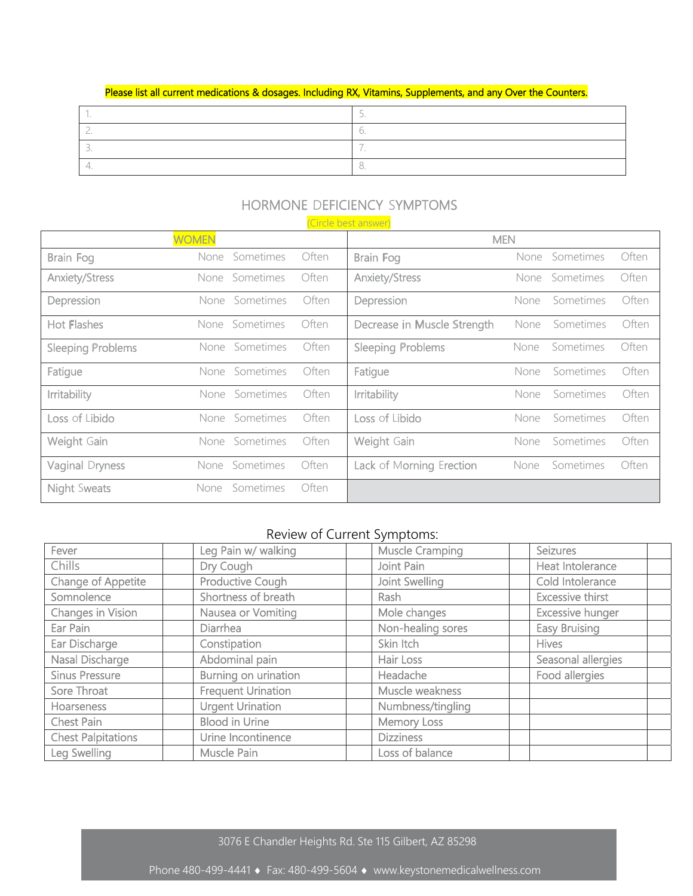### Please list all current medications & dosages. Including RX, Vitamins, Supplements, and any Over the Counters.

### HORMONE DEFICIENCY SYMPTOMS (Circle best answer)

|                          |              |                |       | <u>CITULE MEST CITISMEL</u> |            |                |       |
|--------------------------|--------------|----------------|-------|-----------------------------|------------|----------------|-------|
|                          | <b>WOMEN</b> |                |       |                             | <b>MEN</b> |                |       |
| Brain Fog                |              | None Sometimes | Often | Brain Fog                   |            | None Sometimes | Often |
| Anxiety/Stress           |              | None Sometimes | Often | <b>Anxiety/Stress</b>       |            | None Sometimes | Often |
| Depression               |              | None Sometimes | Often | Depression                  | None       | Sometimes      | Often |
| Hot Flashes              |              | None Sometimes | Often | Decrease in Muscle Strength | None       | Sometimes      | Often |
| <b>Sleeping Problems</b> |              | None Sometimes | Often | <b>Sleeping Problems</b>    | None       | Sometimes      | Often |
| Fatigue                  |              | None Sometimes | Often | Fatigue                     | None       | Sometimes      | Often |
| Irritability             |              | None Sometimes | Often | Irritability                | None       | Sometimes      | Often |
| Loss of Libido           |              | None Sometimes | Often | Loss of Libido              | None       | Sometimes      | Often |
| Weight Gain              |              | None Sometimes | Often | Weight Gain                 | None       | Sometimes      | Often |
| Vaginal Dryness          |              | None Sometimes | Often | Lack of Morning Erection    | None       | Sometimes      | Often |
| <b>Night Sweats</b>      | None         | Sometimes      | Often |                             |            |                |       |

# Review of Current Symptoms:

| Fever                     | Leg Pain w/ walking       | <b>Muscle Cramping</b> | <b>Seizures</b>         |
|---------------------------|---------------------------|------------------------|-------------------------|
| Chills                    | Dry Cough                 | Joint Pain             | Heat Intolerance        |
| Change of Appetite        | Productive Cough          | Joint Swelling         | Cold Intolerance        |
| Somnolence                | Shortness of breath       | Rash                   | <b>Excessive thirst</b> |
| <b>Changes in Vision</b>  | Nausea or Vomiting        | Mole changes           | <b>Excessive hunger</b> |
| Ear Pain                  | <b>Diarrhea</b>           | Non-healing sores      | <b>Easy Bruising</b>    |
| Ear Discharge             | Constipation              | Skin Itch              | <b>Hives</b>            |
| Nasal Discharge           | Abdominal pain            | Hair Loss              | Seasonal allergies      |
| <b>Sinus Pressure</b>     | Burning on urination      | Headache               | Food allergies          |
| Sore Throat               | <b>Frequent Urination</b> | Muscle weakness        |                         |
| <b>Hoarseness</b>         | <b>Urgent Urination</b>   | Numbness/tingling      |                         |
| Chest Pain                | <b>Blood in Urine</b>     | <b>Memory Loss</b>     |                         |
| <b>Chest Palpitations</b> | Urine Incontinence        | <b>Dizziness</b>       |                         |
| Leg Swelling              | Muscle Pain               | Loss of balance        |                         |

3076 E Chandler Heights Rd. Ste 115 Gilbert, AZ 85298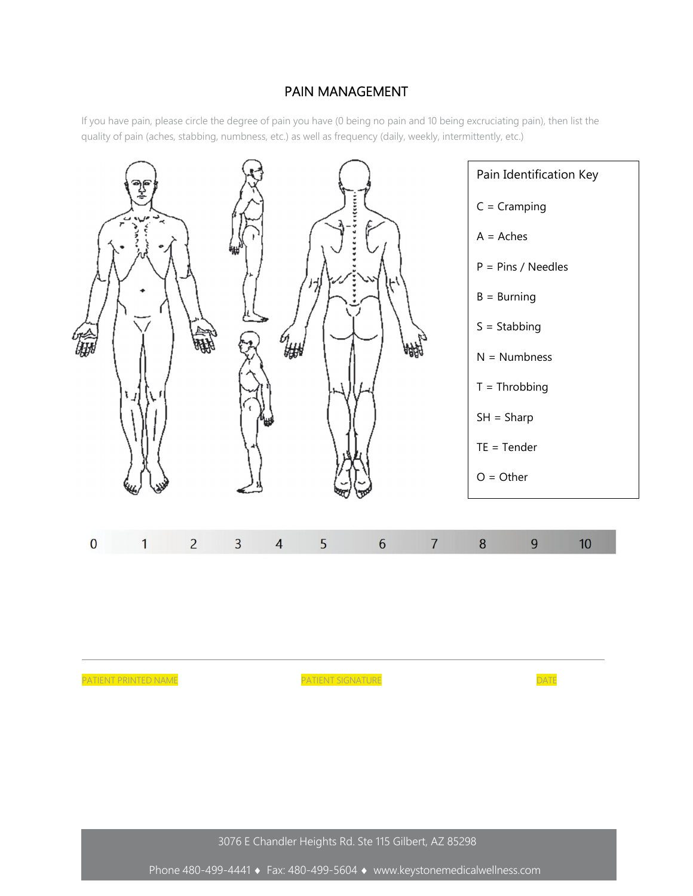# PAIN MANAGEMENT

If you have pain, please circle the degree of pain you have (0 being no pain and 10 being excruciating pain), then list the quality of pain (aches, stabbing, numbness, etc.) as well as frequency (daily, weekly, intermittently, etc.)



3076 E Chandler Heights Rd. Ste 115 Gilbert, AZ 85298

Phone 480-499-4441 • Fax: 480-499-5604 • www.keystonemedicalwellness.com